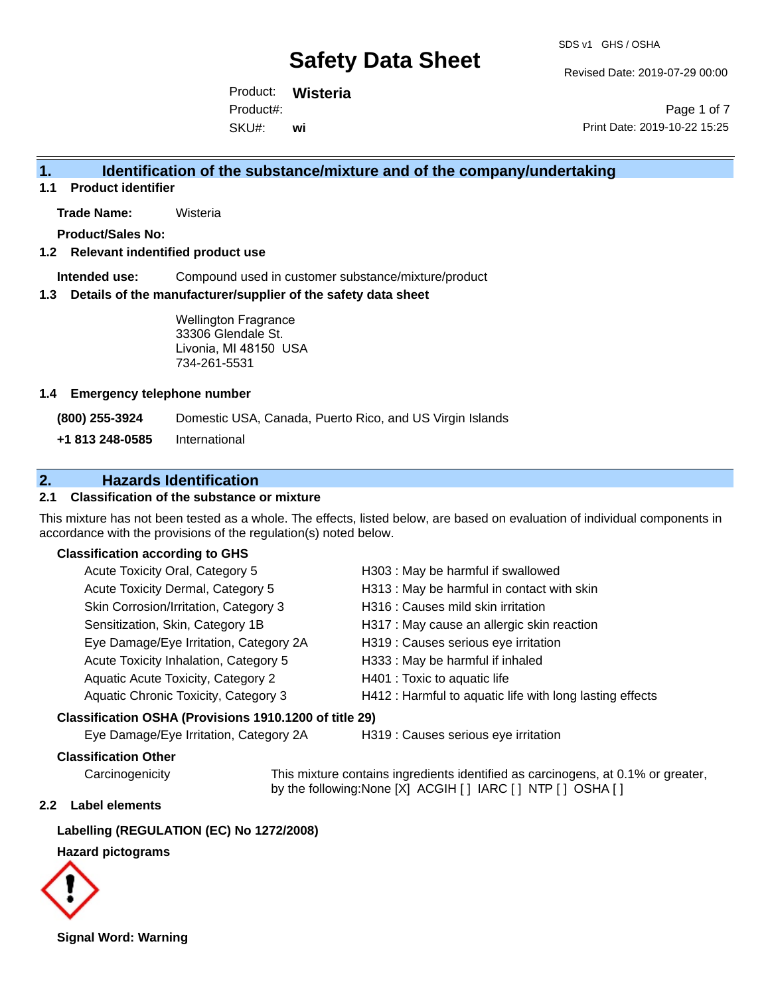Revised Date: 2019-07-29 00:00

Product: **Wisteria** SKU#: Product#: **wi**

Page 1 of 7 Print Date: 2019-10-22 15:25

# **1. Identification of the substance/mixture and of the company/undertaking**

**1.1 Product identifier**

**Trade Name:** Wisteria

**Product/Sales No:**

#### **1.2 Relevant indentified product use**

**Intended use:** Compound used in customer substance/mixture/product

#### **1.3 Details of the manufacturer/supplier of the safety data sheet**

Wellington Fragrance 33306 Glendale St. Livonia, MI 48150 USA 734-261-5531

#### **1.4 Emergency telephone number**

**(800) 255-3924** Domestic USA, Canada, Puerto Rico, and US Virgin Islands

**+1 813 248-0585** International

# **2. Hazards Identification**

#### **2.1 Classification of the substance or mixture**

This mixture has not been tested as a whole. The effects, listed below, are based on evaluation of individual components in accordance with the provisions of the regulation(s) noted below.

#### **Classification according to GHS**

| Acute Toxicity Oral, Category 5                        | H303 : May be harmful if swallowed                       |
|--------------------------------------------------------|----------------------------------------------------------|
| Acute Toxicity Dermal, Category 5                      | H313 : May be harmful in contact with skin               |
| Skin Corrosion/Irritation, Category 3                  | H316 : Causes mild skin irritation                       |
| Sensitization, Skin, Category 1B                       | H317 : May cause an allergic skin reaction               |
| Eye Damage/Eye Irritation, Category 2A                 | H319 : Causes serious eye irritation                     |
| Acute Toxicity Inhalation, Category 5                  | H333: May be harmful if inhaled                          |
| Aquatic Acute Toxicity, Category 2                     | H401 : Toxic to aquatic life                             |
| Aquatic Chronic Toxicity, Category 3                   | H412 : Harmful to aquatic life with long lasting effects |
| Classification OSHA (Provisions 1910.1200 of title 29) |                                                          |

Eye Damage/Eye Irritation, Category 2A H319 : Causes serious eye irritation

#### **Classification Other**

Carcinogenicity This mixture contains ingredients identified as carcinogens, at 0.1% or greater, by the following:None [X] ACGIH [ ] IARC [ ] NTP [ ] OSHA [ ]

#### **2.2 Label elements**

#### **Labelling (REGULATION (EC) No 1272/2008)**

#### **Hazard pictograms**



**Signal Word: Warning**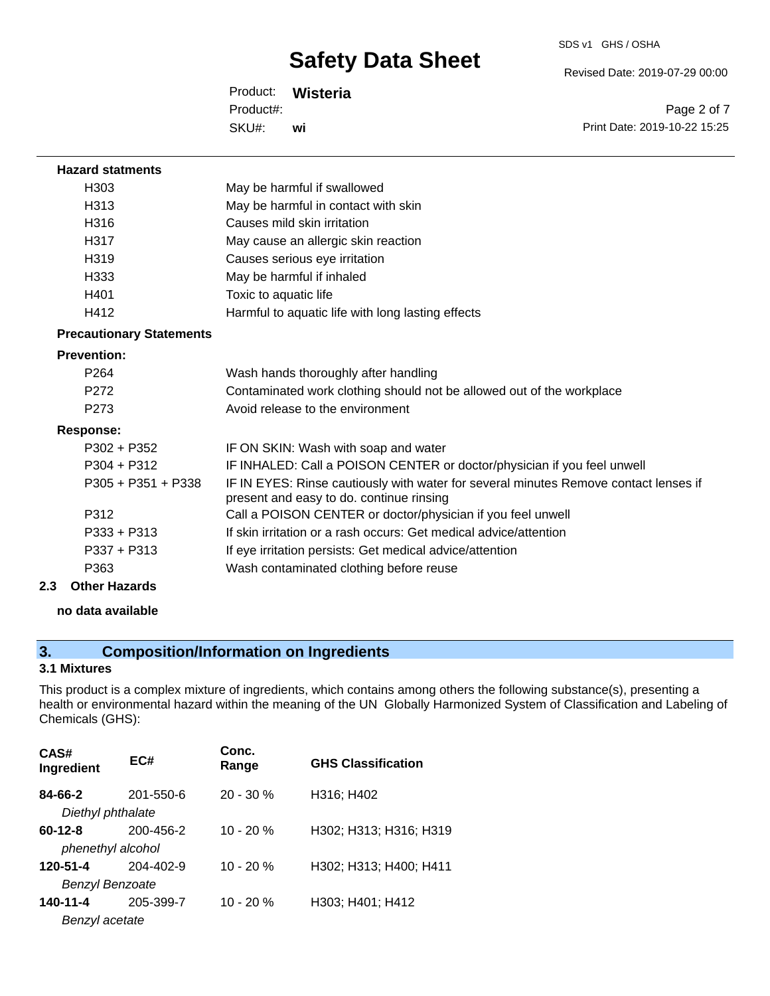Revised Date: 2019-07-29 00:00

Product: **Wisteria** SKU#: Product#: **wi**

Page 2 of 7 Print Date: 2019-10-22 15:25

| <b>Hazard statments</b>         |                                                                                                                                  |
|---------------------------------|----------------------------------------------------------------------------------------------------------------------------------|
| H303                            | May be harmful if swallowed                                                                                                      |
| H <sub>3</sub> 13               | May be harmful in contact with skin                                                                                              |
| H316                            | Causes mild skin irritation                                                                                                      |
| H317                            | May cause an allergic skin reaction                                                                                              |
| H <sub>319</sub>                | Causes serious eye irritation                                                                                                    |
| H333                            | May be harmful if inhaled                                                                                                        |
| H401                            | Toxic to aquatic life                                                                                                            |
| H412                            | Harmful to aquatic life with long lasting effects                                                                                |
| <b>Precautionary Statements</b> |                                                                                                                                  |
| <b>Prevention:</b>              |                                                                                                                                  |
| P <sub>264</sub>                | Wash hands thoroughly after handling                                                                                             |
| P272                            | Contaminated work clothing should not be allowed out of the workplace                                                            |
| P <sub>273</sub>                | Avoid release to the environment                                                                                                 |
| <b>Response:</b>                |                                                                                                                                  |
| $P302 + P352$                   | IF ON SKIN: Wash with soap and water                                                                                             |
| $P304 + P312$                   | IF INHALED: Call a POISON CENTER or doctor/physician if you feel unwell                                                          |
| $P305 + P351 + P338$            | IF IN EYES: Rinse cautiously with water for several minutes Remove contact lenses if<br>present and easy to do. continue rinsing |
| P312                            | Call a POISON CENTER or doctor/physician if you feel unwell                                                                      |
| $P333 + P313$                   | If skin irritation or a rash occurs: Get medical advice/attention                                                                |
| $P337 + P313$                   | If eye irritation persists: Get medical advice/attention                                                                         |
| P363                            | Wash contaminated clothing before reuse                                                                                          |
| 2.3<br><b>Other Hazards</b>     |                                                                                                                                  |

**no data available**

# **3. Composition/Information on Ingredients**

### **3.1 Mixtures**

This product is a complex mixture of ingredients, which contains among others the following substance(s), presenting a health or environmental hazard within the meaning of the UN Globally Harmonized System of Classification and Labeling of Chemicals (GHS):

| CAS#<br>Ingredient     | EC#       | Conc.<br>Range | <b>GHS Classification</b> |
|------------------------|-----------|----------------|---------------------------|
| 84-66-2                | 201-550-6 | $20 - 30 \%$   | H316; H402                |
| Diethyl phthalate      |           |                |                           |
| $60 - 12 - 8$          | 200-456-2 | $10 - 20 %$    | H302; H313; H316; H319    |
| phenethyl alcohol      |           |                |                           |
| 120-51-4               | 204-402-9 | $10 - 20%$     | H302; H313; H400; H411    |
| <b>Benzyl Benzoate</b> |           |                |                           |
| 140-11-4               | 205-399-7 | $10 - 20%$     | H303; H401; H412          |
| Benzyl acetate         |           |                |                           |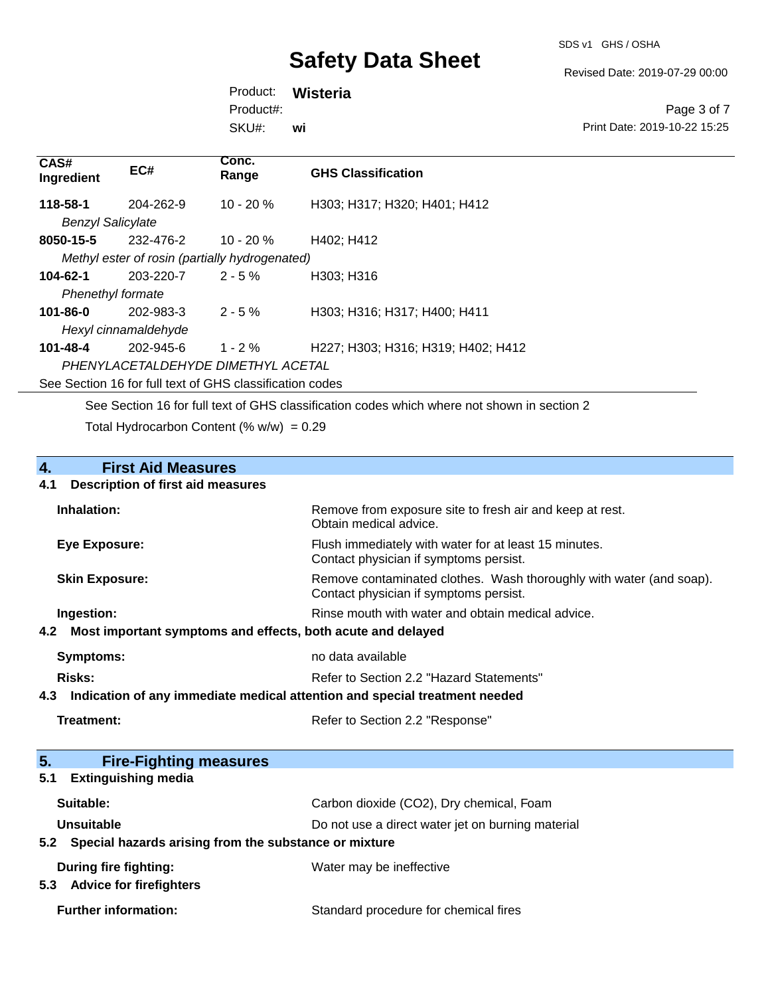SDS v1 GHS / OSHA

Revised Date: 2019-07-29 00:00

Product: **Wisteria** SKU#: Product#: **wi**

Page 3 of 7 Print Date: 2019-10-22 15:25

| CAS#<br>Ingredient       | EC#                                                      | Conc.<br>Range | <b>GHS Classification</b>          |  |
|--------------------------|----------------------------------------------------------|----------------|------------------------------------|--|
| 118-58-1                 | 204-262-9                                                | $10 - 20%$     | H303; H317; H320; H401; H412       |  |
| <b>Benzyl Salicylate</b> |                                                          |                |                                    |  |
| 8050-15-5                | 232-476-2                                                | $10 - 20%$     | H402; H412                         |  |
|                          | Methyl ester of rosin (partially hydrogenated)           |                |                                    |  |
| 104-62-1                 | 203-220-7                                                | $2 - 5 \%$     | H303: H316                         |  |
|                          | <b>Phenethyl formate</b>                                 |                |                                    |  |
| $101 - 86 - 0$           | 202-983-3                                                | $2 - 5 \%$     | H303; H316; H317; H400; H411       |  |
|                          | Hexyl cinnamaldehyde                                     |                |                                    |  |
| 101-48-4                 | 202-945-6                                                | $1 - 2 \%$     | H227; H303; H316; H319; H402; H412 |  |
|                          | PHENYLACETALDEHYDE DIMETHYL ACETAL                       |                |                                    |  |
|                          | See Section 16 for full text of GHS classification codes |                |                                    |  |
|                          |                                                          |                |                                    |  |

See Section 16 for full text of GHS classification codes which where not shown in section 2 Total Hydrocarbon Content (%  $w/w$ ) = 0.29

# **4.** First Aid Measures<br>**4.1** Description of first aid meas **4.1 Description of first aid measures**

| Inhalation:                                                                      | Remove from exposure site to fresh air and keep at rest.<br>Obtain medical advice.                            |
|----------------------------------------------------------------------------------|---------------------------------------------------------------------------------------------------------------|
| Eye Exposure:                                                                    | Flush immediately with water for at least 15 minutes.<br>Contact physician if symptoms persist.               |
| <b>Skin Exposure:</b>                                                            | Remove contaminated clothes. Wash thoroughly with water (and soap).<br>Contact physician if symptoms persist. |
| Ingestion:<br>Most important symptoms and effects, both acute and delayed<br>4.2 | Rinse mouth with water and obtain medical advice.                                                             |
| Symptoms:                                                                        | no data available                                                                                             |

| Risks: | Refer to Section 2.2 "Hazard Statements" |
|--------|------------------------------------------|
|        |                                          |

# **4.3 Indication of any immediate medical attention and special treatment needed**

| 5.         | <b>Fire-Fighting measures</b>                             |                                                   |
|------------|-----------------------------------------------------------|---------------------------------------------------|
| 5.1        | <b>Extinguishing media</b>                                |                                                   |
| Suitable:  |                                                           | Carbon dioxide (CO2), Dry chemical, Foam          |
| Unsuitable |                                                           | Do not use a direct water jet on burning material |
|            | 5.2 Special hazards arising from the substance or mixture |                                                   |
|            | During fire fighting:                                     | Water may be ineffective                          |
| 5.3        | <b>Advice for firefighters</b>                            |                                                   |
|            | <b>Further information:</b>                               | Standard procedure for chemical fires             |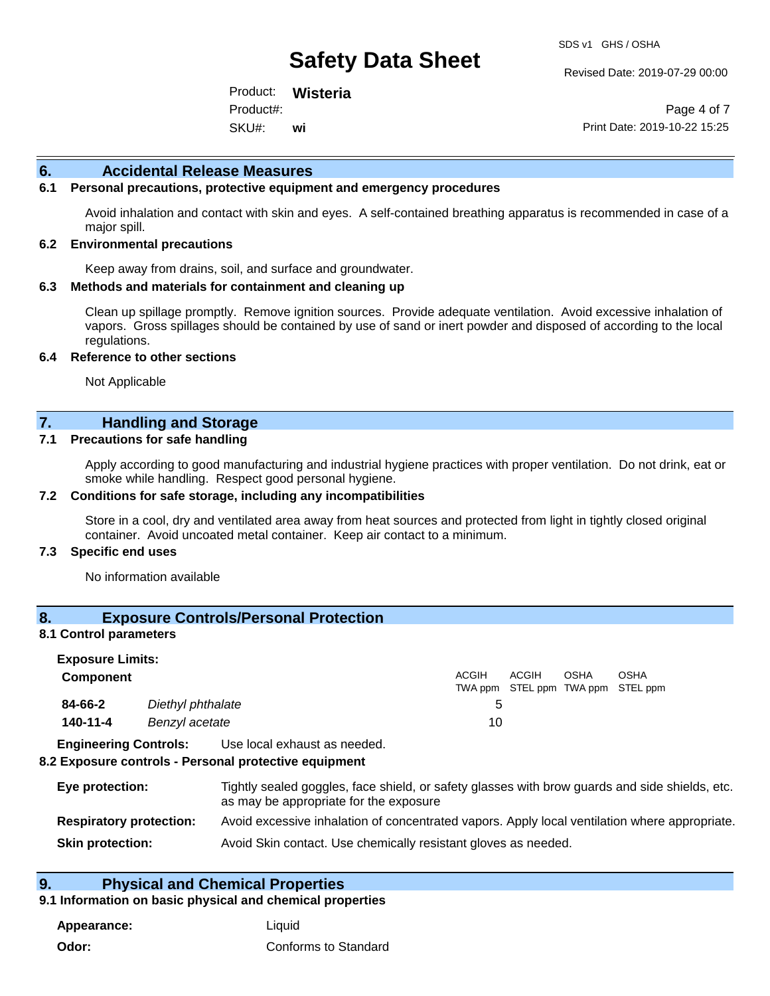Revised Date: 2019-07-29 00:00

Product: **Wisteria** SKU#: Product#: **wi**

Page 4 of 7 Print Date: 2019-10-22 15:25

#### **6. Accidental Release Measures**

#### **6.1 Personal precautions, protective equipment and emergency procedures**

Avoid inhalation and contact with skin and eyes. A self-contained breathing apparatus is recommended in case of a major spill.

#### **6.2 Environmental precautions**

Keep away from drains, soil, and surface and groundwater.

#### **6.3 Methods and materials for containment and cleaning up**

Clean up spillage promptly. Remove ignition sources. Provide adequate ventilation. Avoid excessive inhalation of vapors. Gross spillages should be contained by use of sand or inert powder and disposed of according to the local regulations.

#### **6.4 Reference to other sections**

Not Applicable

#### **7. Handling and Storage**

#### **7.1 Precautions for safe handling**

Apply according to good manufacturing and industrial hygiene practices with proper ventilation. Do not drink, eat or smoke while handling. Respect good personal hygiene.

#### **7.2 Conditions for safe storage, including any incompatibilities**

Store in a cool, dry and ventilated area away from heat sources and protected from light in tightly closed original container. Avoid uncoated metal container. Keep air contact to a minimum.

#### **7.3 Specific end uses**

No information available

### **8. Exposure Controls/Personal Protection**

#### **8.1 Control parameters**

| <b>Exposure Limits:</b> |                   |              |       |             |                                           |  |
|-------------------------|-------------------|--------------|-------|-------------|-------------------------------------------|--|
| <b>Component</b>        |                   | <b>ACGIH</b> | ACGIH | <b>OSHA</b> | OSHA<br>TWA ppm STEL ppm TWA ppm STEL ppm |  |
| 84-66-2                 | Diethyl phthalate | b            |       |             |                                           |  |
| 140-11-4                | Benzyl acetate    | 10           |       |             |                                           |  |
| _ _ _ _ _ _ _           |                   |              |       |             |                                           |  |

**Engineering Controls:** Use local exhaust as needed.

#### **8.2 Exposure controls - Personal protective equipment**

| Eye protection:                | Tightly sealed goggles, face shield, or safety glasses with brow guards and side shields, etc.<br>as may be appropriate for the exposure |
|--------------------------------|------------------------------------------------------------------------------------------------------------------------------------------|
| <b>Respiratory protection:</b> | Avoid excessive inhalation of concentrated vapors. Apply local ventilation where appropriate.                                            |
| <b>Skin protection:</b>        | Avoid Skin contact. Use chemically resistant gloves as needed.                                                                           |

### **9. Physical and Chemical Properties**

#### **9.1 Information on basic physical and chemical properties**

**Appearance:** Liquid **Odor:** Conforms to Standard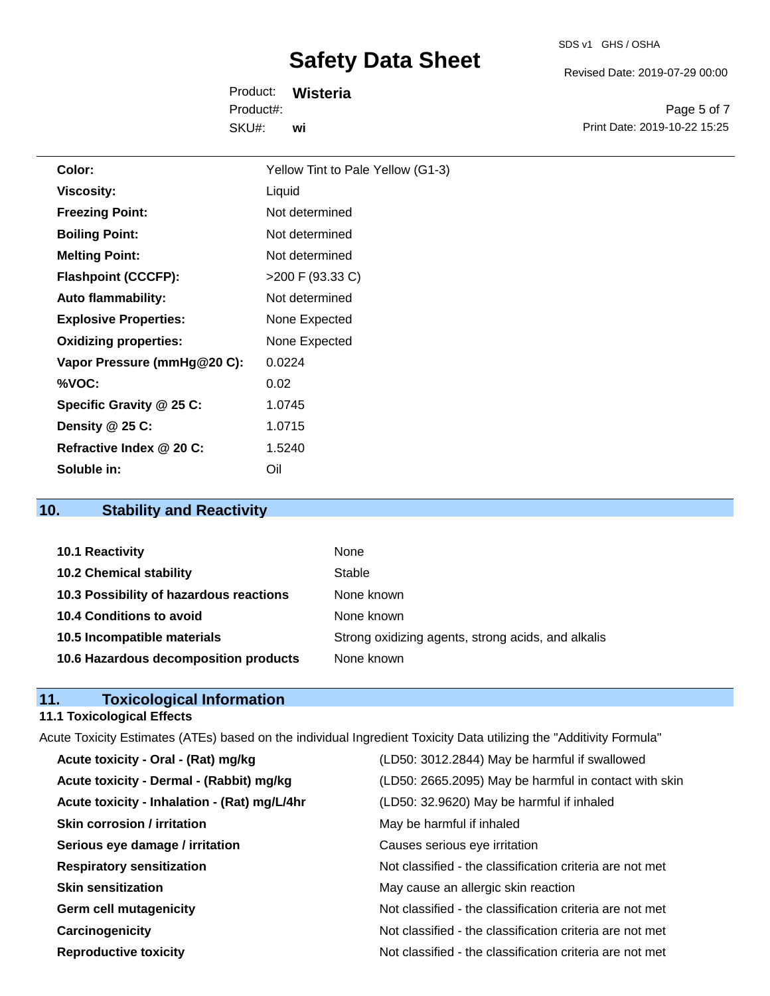Revised Date: 2019-07-29 00:00

Product: **Wisteria** SKU#: Product#: **wi**

Page 5 of 7 Print Date: 2019-10-22 15:25

| Color:                       | Yellow Tint to Pale Yellow (G1-3) |
|------------------------------|-----------------------------------|
| <b>Viscosity:</b>            | Liquid                            |
| <b>Freezing Point:</b>       | Not determined                    |
| <b>Boiling Point:</b>        | Not determined                    |
| <b>Melting Point:</b>        | Not determined                    |
| <b>Flashpoint (CCCFP):</b>   | >200 F (93.33 C)                  |
| <b>Auto flammability:</b>    | Not determined                    |
| <b>Explosive Properties:</b> | None Expected                     |
| <b>Oxidizing properties:</b> | None Expected                     |
| Vapor Pressure (mmHg@20 C):  | 0.0224                            |
| %VOC:                        | 0.02                              |
| Specific Gravity @ 25 C:     | 1.0745                            |
| Density @ 25 C:              | 1.0715                            |
| Refractive Index @ 20 C:     | 1.5240                            |
| Soluble in:                  | Oil                               |
|                              |                                   |

# **10. Stability and Reactivity**

| 10.1 Reactivity                         | None                                               |
|-----------------------------------------|----------------------------------------------------|
| <b>10.2 Chemical stability</b>          | Stable                                             |
| 10.3 Possibility of hazardous reactions | None known                                         |
| <b>10.4 Conditions to avoid</b>         | None known                                         |
| 10.5 Incompatible materials             | Strong oxidizing agents, strong acids, and alkalis |
| 10.6 Hazardous decomposition products   | None known                                         |

# **11. Toxicological Information**

# **11.1 Toxicological Effects**

| Acute Toxicity Estimates (ATEs) based on the individual Ingredient Toxicity Data utilizing the "Additivity Formula" |                                                          |  |  |
|---------------------------------------------------------------------------------------------------------------------|----------------------------------------------------------|--|--|
| Acute toxicity - Oral - (Rat) mg/kg                                                                                 | (LD50: 3012.2844) May be harmful if swallowed            |  |  |
| Acute toxicity - Dermal - (Rabbit) mg/kg                                                                            | (LD50: 2665.2095) May be harmful in contact with skin    |  |  |
| Acute toxicity - Inhalation - (Rat) mg/L/4hr                                                                        | (LD50: 32.9620) May be harmful if inhaled                |  |  |
| Skin corrosion / irritation                                                                                         | May be harmful if inhaled                                |  |  |
| Serious eye damage / irritation                                                                                     | Causes serious eye irritation                            |  |  |
| <b>Respiratory sensitization</b>                                                                                    | Not classified - the classification criteria are not met |  |  |
| <b>Skin sensitization</b>                                                                                           | May cause an allergic skin reaction                      |  |  |
| <b>Germ cell mutagenicity</b>                                                                                       | Not classified - the classification criteria are not met |  |  |
| Carcinogenicity                                                                                                     | Not classified - the classification criteria are not met |  |  |
| <b>Reproductive toxicity</b>                                                                                        | Not classified - the classification criteria are not met |  |  |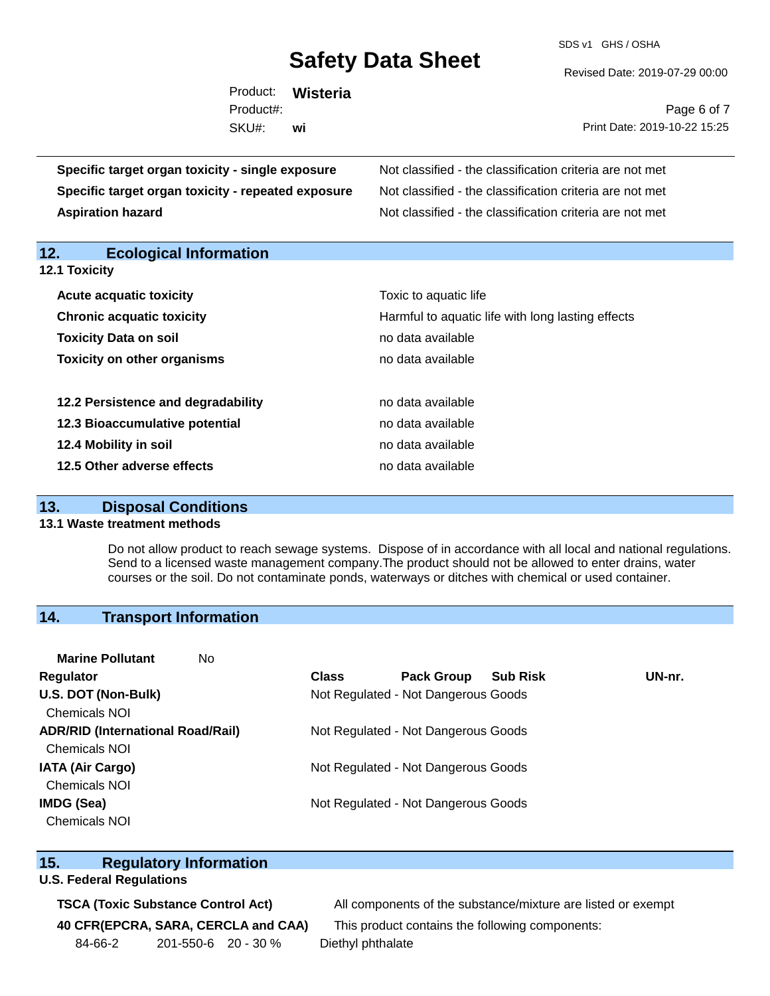SDS v1 GHS / OSHA

Revised Date: 2019-07-29 00:00

| Product:<br>Wisteria                                                                                            |                                                                                                                                                                                                                                |  |
|-----------------------------------------------------------------------------------------------------------------|--------------------------------------------------------------------------------------------------------------------------------------------------------------------------------------------------------------------------------|--|
| Product#:                                                                                                       | Page 6 of 7                                                                                                                                                                                                                    |  |
| SKU#:<br>wi                                                                                                     | Print Date: 2019-10-22 15:25                                                                                                                                                                                                   |  |
| toxicity - single exposure                                                                                      | Not classified - the classification criteria are not met                                                                                                                                                                       |  |
| the contract of the contract of the contract of the contract of the contract of the contract of the contract of | All and all and the collection of the contract of the collection of the collection of the collection of the collection of the collection of the collection of the collection of the collection of the collection of the collec |  |

**Specific target organ Specific target organ toxicity - repeated exposure** Not classified - the classification criteria are not met **Aspiration hazard Not classified - the classification criteria are not met** Not classified - the classification criteria are not met

**12. Ecological Information** 

**12.1 Toxicity**

| <b>Acute acquatic toxicity</b>     | Toxic to aquatic life                             |
|------------------------------------|---------------------------------------------------|
| <b>Chronic acquatic toxicity</b>   | Harmful to aquatic life with long lasting effects |
| <b>Toxicity Data on soil</b>       | no data available                                 |
| <b>Toxicity on other organisms</b> | no data available                                 |
|                                    |                                                   |
| 12.2 Persistence and degradability | no data available                                 |
| 12.3 Bioaccumulative potential     | no data available                                 |
| 12.4 Mobility in soil              | no data available                                 |
| 12.5 Other adverse effects         | no data available                                 |

#### **13. Disposal Conditions**

### **13.1 Waste treatment methods**

Do not allow product to reach sewage systems. Dispose of in accordance with all local and national regulations. Send to a licensed waste management company.The product should not be allowed to enter drains, water courses or the soil. Do not contaminate ponds, waterways or ditches with chemical or used container.

# **14. Transport Information**

| <b>Marine Pollutant</b><br>No            |                                     |                                     |                 |        |
|------------------------------------------|-------------------------------------|-------------------------------------|-----------------|--------|
| <b>Regulator</b>                         | <b>Class</b>                        | <b>Pack Group</b>                   | <b>Sub Risk</b> | UN-nr. |
| U.S. DOT (Non-Bulk)                      |                                     | Not Regulated - Not Dangerous Goods |                 |        |
| <b>Chemicals NOI</b>                     |                                     |                                     |                 |        |
| <b>ADR/RID (International Road/Rail)</b> | Not Regulated - Not Dangerous Goods |                                     |                 |        |
| <b>Chemicals NOI</b>                     |                                     |                                     |                 |        |
| <b>IATA (Air Cargo)</b>                  | Not Regulated - Not Dangerous Goods |                                     |                 |        |
| <b>Chemicals NOI</b>                     |                                     |                                     |                 |        |
| IMDG (Sea)                               |                                     | Not Regulated - Not Dangerous Goods |                 |        |
| <b>Chemicals NOI</b>                     |                                     |                                     |                 |        |

### **15. Regulatory Information**

### **U.S. Federal Regulations**

84-66-2 201-550-6 20 - 30 % Diethyl phthalate

**TSCA (Toxic Substance Control Act)** All components of the substance/mixture are listed or exempt

**40 CFR(EPCRA, SARA, CERCLA and CAA)** This product contains the following components: